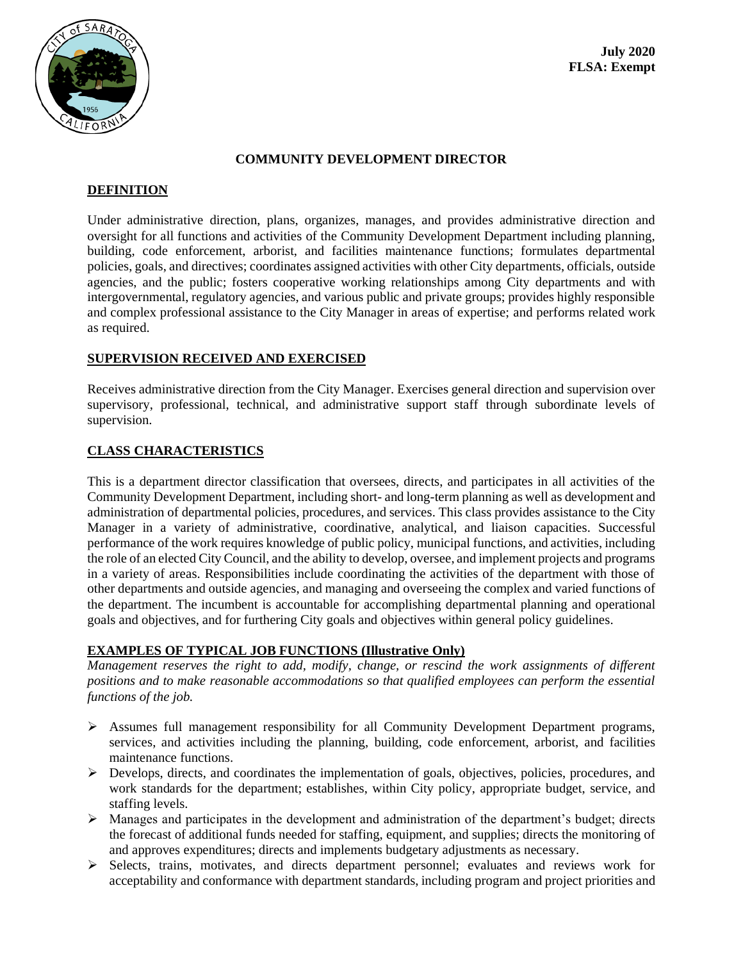

#### **COMMUNITY DEVELOPMENT DIRECTOR**

#### **DEFINITION**

Under administrative direction, plans, organizes, manages, and provides administrative direction and oversight for all functions and activities of the Community Development Department including planning, building, code enforcement, arborist, and facilities maintenance functions; formulates departmental policies, goals, and directives; coordinates assigned activities with other City departments, officials, outside agencies, and the public; fosters cooperative working relationships among City departments and with intergovernmental, regulatory agencies, and various public and private groups; provides highly responsible and complex professional assistance to the City Manager in areas of expertise; and performs related work as required.

#### **SUPERVISION RECEIVED AND EXERCISED**

Receives administrative direction from the City Manager. Exercises general direction and supervision over supervisory, professional, technical, and administrative support staff through subordinate levels of supervision.

# **CLASS CHARACTERISTICS**

This is a department director classification that oversees, directs, and participates in all activities of the Community Development Department, including short- and long-term planning as well as development and administration of departmental policies, procedures, and services. This class provides assistance to the City Manager in a variety of administrative, coordinative, analytical, and liaison capacities. Successful performance of the work requires knowledge of public policy, municipal functions, and activities, including the role of an elected City Council, and the ability to develop, oversee, and implement projects and programs in a variety of areas. Responsibilities include coordinating the activities of the department with those of other departments and outside agencies, and managing and overseeing the complex and varied functions of the department. The incumbent is accountable for accomplishing departmental planning and operational goals and objectives, and for furthering City goals and objectives within general policy guidelines.

# **EXAMPLES OF TYPICAL JOB FUNCTIONS (Illustrative Only)**

*Management reserves the right to add, modify, change, or rescind the work assignments of different positions and to make reasonable accommodations so that qualified employees can perform the essential functions of the job.*

- ➢ Assumes full management responsibility for all Community Development Department programs, services, and activities including the planning, building, code enforcement, arborist, and facilities maintenance functions.
- ➢ Develops, directs, and coordinates the implementation of goals, objectives, policies, procedures, and work standards for the department; establishes, within City policy, appropriate budget, service, and staffing levels.
- ➢ Manages and participates in the development and administration of the department's budget; directs the forecast of additional funds needed for staffing, equipment, and supplies; directs the monitoring of and approves expenditures; directs and implements budgetary adjustments as necessary.
- ➢ Selects, trains, motivates, and directs department personnel; evaluates and reviews work for acceptability and conformance with department standards, including program and project priorities and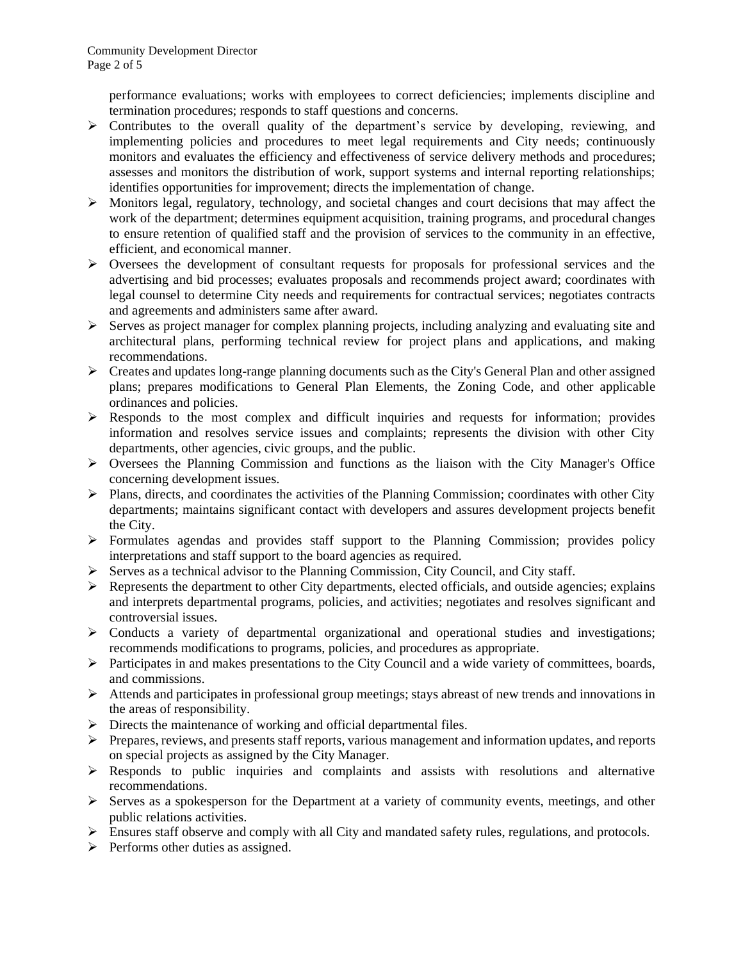performance evaluations; works with employees to correct deficiencies; implements discipline and termination procedures; responds to staff questions and concerns.

- $\triangleright$  Contributes to the overall quality of the department's service by developing, reviewing, and implementing policies and procedures to meet legal requirements and City needs; continuously monitors and evaluates the efficiency and effectiveness of service delivery methods and procedures; assesses and monitors the distribution of work, support systems and internal reporting relationships; identifies opportunities for improvement; directs the implementation of change.
- ➢ Monitors legal, regulatory, technology, and societal changes and court decisions that may affect the work of the department; determines equipment acquisition, training programs, and procedural changes to ensure retention of qualified staff and the provision of services to the community in an effective, efficient, and economical manner.
- ➢ Oversees the development of consultant requests for proposals for professional services and the advertising and bid processes; evaluates proposals and recommends project award; coordinates with legal counsel to determine City needs and requirements for contractual services; negotiates contracts and agreements and administers same after award.
- $\triangleright$  Serves as project manager for complex planning projects, including analyzing and evaluating site and architectural plans, performing technical review for project plans and applications, and making recommendations.
- $\triangleright$  Creates and updates long-range planning documents such as the City's General Plan and other assigned plans; prepares modifications to General Plan Elements, the Zoning Code, and other applicable ordinances and policies.
- $\triangleright$  Responds to the most complex and difficult inquiries and requests for information; provides information and resolves service issues and complaints; represents the division with other City departments, other agencies, civic groups, and the public.
- $\triangleright$  Oversees the Planning Commission and functions as the liaison with the City Manager's Office concerning development issues.
- ➢ Plans, directs, and coordinates the activities of the Planning Commission; coordinates with other City departments; maintains significant contact with developers and assures development projects benefit the City.
- ➢ Formulates agendas and provides staff support to the Planning Commission; provides policy interpretations and staff support to the board agencies as required.
- $\triangleright$  Serves as a technical advisor to the Planning Commission, City Council, and City staff.
- $\triangleright$  Represents the department to other City departments, elected officials, and outside agencies; explains and interprets departmental programs, policies, and activities; negotiates and resolves significant and controversial issues.
- ➢ Conducts a variety of departmental organizational and operational studies and investigations; recommends modifications to programs, policies, and procedures as appropriate.
- $\triangleright$  Participates in and makes presentations to the City Council and a wide variety of committees, boards, and commissions.
- ➢ Attends and participates in professional group meetings; stays abreast of new trends and innovations in the areas of responsibility.
- ➢ Directs the maintenance of working and official departmental files.
- $\triangleright$  Prepares, reviews, and presents staff reports, various management and information updates, and reports on special projects as assigned by the City Manager.
- ➢ Responds to public inquiries and complaints and assists with resolutions and alternative recommendations.
- ➢ Serves as a spokesperson for the Department at a variety of community events, meetings, and other public relations activities.
- $\triangleright$  Ensures staff observe and comply with all City and mandated safety rules, regulations, and protocols.
- $\triangleright$  Performs other duties as assigned.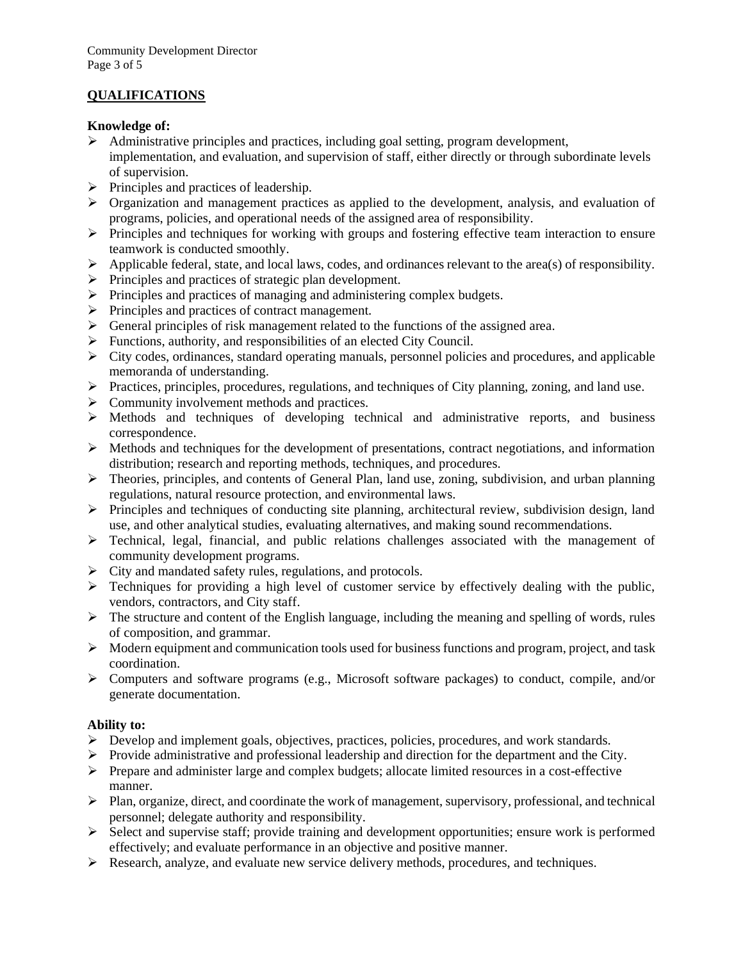# **QUALIFICATIONS**

#### **Knowledge of:**

- $\triangleright$  Administrative principles and practices, including goal setting, program development, implementation, and evaluation, and supervision of staff, either directly or through subordinate levels of supervision.
- ➢ Principles and practices of leadership.
- ➢ Organization and management practices as applied to the development, analysis, and evaluation of programs, policies, and operational needs of the assigned area of responsibility.
- ➢ Principles and techniques for working with groups and fostering effective team interaction to ensure teamwork is conducted smoothly.
- $\triangleright$  Applicable federal, state, and local laws, codes, and ordinances relevant to the area(s) of responsibility.
- ➢ Principles and practices of strategic plan development.
- ➢ Principles and practices of managing and administering complex budgets.
- ➢ Principles and practices of contract management.
- $\triangleright$  General principles of risk management related to the functions of the assigned area.
- ➢ Functions, authority, and responsibilities of an elected City Council.
- $\triangleright$  City codes, ordinances, standard operating manuals, personnel policies and procedures, and applicable memoranda of understanding.
- ➢ Practices, principles, procedures, regulations, and techniques of City planning, zoning, and land use.
- ➢ Community involvement methods and practices.
- $\triangleright$  Methods and techniques of developing technical and administrative reports, and business correspondence.
- $\triangleright$  Methods and techniques for the development of presentations, contract negotiations, and information distribution; research and reporting methods, techniques, and procedures.
- $\triangleright$  Theories, principles, and contents of General Plan, land use, zoning, subdivision, and urban planning regulations, natural resource protection, and environmental laws.
- $\triangleright$  Principles and techniques of conducting site planning, architectural review, subdivision design, land use, and other analytical studies, evaluating alternatives, and making sound recommendations.
- ➢ Technical, legal, financial, and public relations challenges associated with the management of community development programs.
- ➢ City and mandated safety rules, regulations, and protocols.
- ➢ Techniques for providing a high level of customer service by effectively dealing with the public, vendors, contractors, and City staff.
- $\triangleright$  The structure and content of the English language, including the meaning and spelling of words, rules of composition, and grammar.
- ➢ Modern equipment and communication tools used for business functions and program, project, and task coordination.
- $\triangleright$  Computers and software programs (e.g., Microsoft software packages) to conduct, compile, and/or generate documentation.

# **Ability to:**

- ➢ Develop and implement goals, objectives, practices, policies, procedures, and work standards.
- ➢ Provide administrative and professional leadership and direction for the department and the City.
- $\triangleright$  Prepare and administer large and complex budgets; allocate limited resources in a cost-effective manner.
- $\triangleright$  Plan, organize, direct, and coordinate the work of management, supervisory, professional, and technical personnel; delegate authority and responsibility.
- $\triangleright$  Select and supervise staff; provide training and development opportunities; ensure work is performed effectively; and evaluate performance in an objective and positive manner.
- $\triangleright$  Research, analyze, and evaluate new service delivery methods, procedures, and techniques.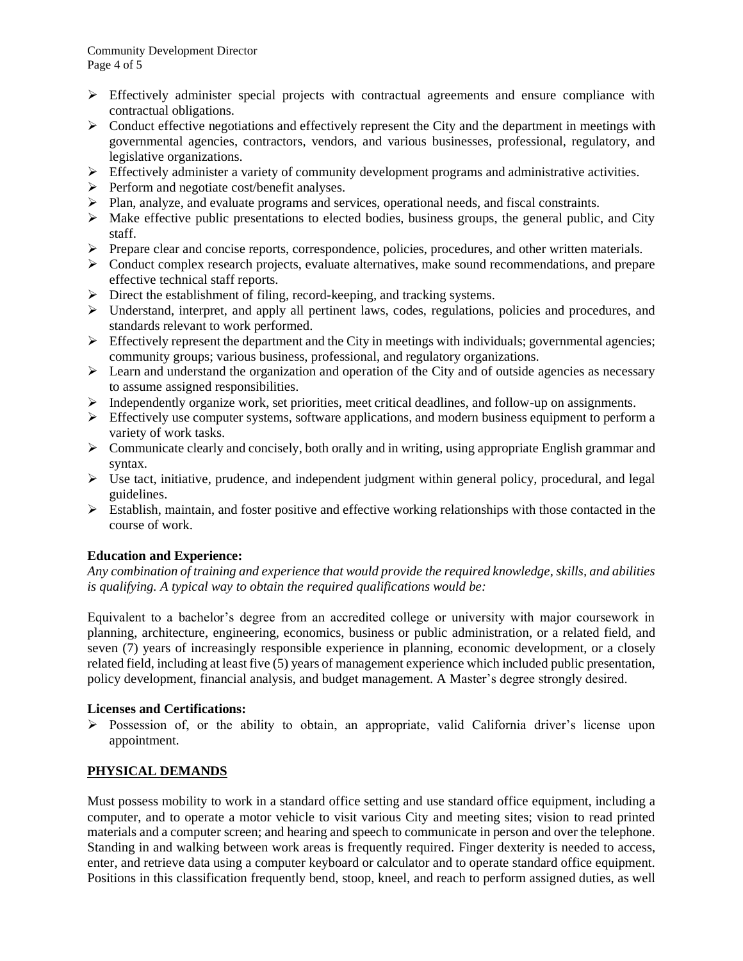- ➢ Effectively administer special projects with contractual agreements and ensure compliance with contractual obligations.
- $\triangleright$  Conduct effective negotiations and effectively represent the City and the department in meetings with governmental agencies, contractors, vendors, and various businesses, professional, regulatory, and legislative organizations.
- $\triangleright$  Effectively administer a variety of community development programs and administrative activities.
- ➢ Perform and negotiate cost/benefit analyses.
- ➢ Plan, analyze, and evaluate programs and services, operational needs, and fiscal constraints.
- $\triangleright$  Make effective public presentations to elected bodies, business groups, the general public, and City staff.
- ➢ Prepare clear and concise reports, correspondence, policies, procedures, and other written materials.
- $\triangleright$  Conduct complex research projects, evaluate alternatives, make sound recommendations, and prepare effective technical staff reports.
- ➢ Direct the establishment of filing, record-keeping, and tracking systems.
- ➢ Understand, interpret, and apply all pertinent laws, codes, regulations, policies and procedures, and standards relevant to work performed.
- $\triangleright$  Effectively represent the department and the City in meetings with individuals; governmental agencies; community groups; various business, professional, and regulatory organizations.
- $\triangleright$  Learn and understand the organization and operation of the City and of outside agencies as necessary to assume assigned responsibilities.
- ➢ Independently organize work, set priorities, meet critical deadlines, and follow-up on assignments.
- $\triangleright$  Effectively use computer systems, software applications, and modern business equipment to perform a variety of work tasks.
- $\triangleright$  Communicate clearly and concisely, both orally and in writing, using appropriate English grammar and syntax.
- ➢ Use tact, initiative, prudence, and independent judgment within general policy, procedural, and legal guidelines.
- $\triangleright$  Establish, maintain, and foster positive and effective working relationships with those contacted in the course of work.

# **Education and Experience:**

*Any combination of training and experience that would provide the required knowledge, skills, and abilities is qualifying. A typical way to obtain the required qualifications would be:*

Equivalent to a bachelor's degree from an accredited college or university with major coursework in planning, architecture, engineering, economics, business or public administration, or a related field, and seven (7) years of increasingly responsible experience in planning, economic development, or a closely related field, including at least five (5) years of management experience which included public presentation, policy development, financial analysis, and budget management. A Master's degree strongly desired.

#### **Licenses and Certifications:**

➢ Possession of, or the ability to obtain, an appropriate, valid California driver's license upon appointment.

# **PHYSICAL DEMANDS**

Must possess mobility to work in a standard office setting and use standard office equipment, including a computer, and to operate a motor vehicle to visit various City and meeting sites; vision to read printed materials and a computer screen; and hearing and speech to communicate in person and over the telephone. Standing in and walking between work areas is frequently required. Finger dexterity is needed to access, enter, and retrieve data using a computer keyboard or calculator and to operate standard office equipment. Positions in this classification frequently bend, stoop, kneel, and reach to perform assigned duties, as well